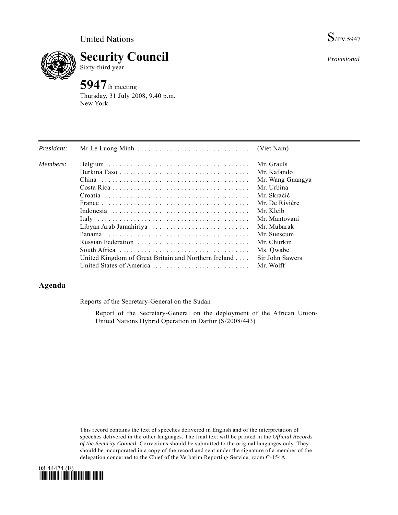

**Security Council** 

# Sixty-third year

**5947**th meeting Thursday, 31 July 2008, 9.40 p.m. New York

| President: |                                                      | (Viet Nam)       |
|------------|------------------------------------------------------|------------------|
| Members:   |                                                      | Mr. Grauls       |
|            |                                                      | Mr. Kafando      |
|            |                                                      | Mr. Wang Guangya |
|            |                                                      | Mr. Urbina       |
|            |                                                      | Mr. Skračić      |
|            |                                                      | Mr. De Rivière   |
|            |                                                      | Mr. Kleib        |
|            |                                                      | Mr. Mantovani    |
|            | Libyan Arab Jamahiriya                               | Mr. Mubarak      |
|            |                                                      | Mr. Suescum      |
|            |                                                      | Mr. Churkin      |
|            |                                                      | Ms. Owabe        |
|            | United Kingdom of Great Britain and Northern Ireland | Sir John Sawers  |
|            |                                                      | Mr. Wolff        |

## **Agenda**

Reports of the Secretary-General on the Sudan

 Report of the Secretary-General on the deployment of the African Union-United Nations Hybrid Operation in Darfur (S/2008/443)

This record contains the text of speeches delivered in English and of the interpretation of speeches delivered in the other languages. The final text will be printed in the *Official Records of the Security Council*. Corrections should be submitted to the original languages only. They should be incorporated in a copy of the record and sent under the signature of a member of the delegation concerned to the Chief of the Verbatim Reporting Service, room C-154A.



*Provisional*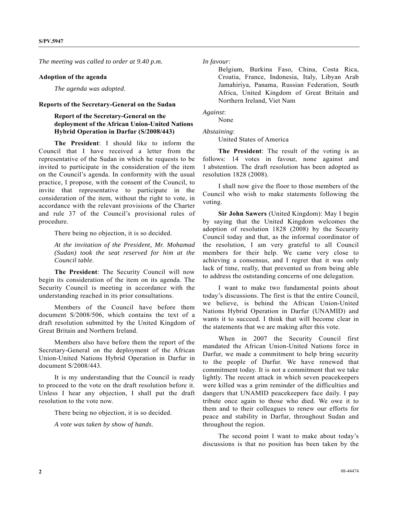*The meeting was called to order at 9.40 p.m.* 

#### **Adoption of the agenda**

*The agenda was adopted*.

#### **Reports of the Secretary-General on the Sudan**

### **Report of the Secretary-General on the deployment of the African Union-United Nations Hybrid Operation in Darfur (S/2008/443)**

 **The President**: I should like to inform the Council that I have received a letter from the representative of the Sudan in which he requests to be invited to participate in the consideration of the item on the Council's agenda. In conformity with the usual practice, I propose, with the consent of the Council, to invite that representative to participate in the consideration of the item, without the right to vote, in accordance with the relevant provisions of the Charter and rule 37 of the Council's provisional rules of procedure.

There being no objection, it is so decided.

 *At the invitation of the President, Mr. Mohamad (Sudan) took the seat reserved for him at the Council table*.

 **The President**: The Security Council will now begin its consideration of the item on its agenda. The Security Council is meeting in accordance with the understanding reached in its prior consultations.

 Members of the Council have before them document S/2008/506, which contains the text of a draft resolution submitted by the United Kingdom of Great Britain and Northern Ireland.

 Members also have before them the report of the Secretary-General on the deployment of the African Union-United Nations Hybrid Operation in Darfur in document S/2008/443.

 It is my understanding that the Council is ready to proceed to the vote on the draft resolution before it. Unless I hear any objection, I shall put the draft resolution to the vote now.

There being no objection, it is so decided.

*A vote was taken by show of hands*.

*In favour*:

Belgium, Burkina Faso, China, Costa Rica, Croatia, France, Indonesia, Italy, Libyan Arab Jamahiriya, Panama, Russian Federation, South Africa, United Kingdom of Great Britain and Northern Ireland, Viet Nam

*Against*:

None

#### *Abstaining*:

United States of America

**The President**: The result of the voting is as follows: 14 votes in favour, none against and 1 abstention. The draft resolution has been adopted as resolution 1828 (2008).

 I shall now give the floor to those members of the Council who wish to make statements following the voting.

**Sir John Sawers** (United Kingdom): May I begin by saying that the United Kingdom welcomes the adoption of resolution 1828 (2008) by the Security Council today and that, as the informal coordinator of the resolution, I am very grateful to all Council members for their help. We came very close to achieving a consensus, and I regret that it was only lack of time, really, that prevented us from being able to address the outstanding concerns of one delegation.

 I want to make two fundamental points about today's discussions. The first is that the entire Council, we believe, is behind the African Union-United Nations Hybrid Operation in Darfur (UNAMID) and wants it to succeed. I think that will become clear in the statements that we are making after this vote.

 When in 2007 the Security Council first mandated the African Union-United Nations force in Darfur, we made a commitment to help bring security to the people of Darfur. We have renewed that commitment today. It is not a commitment that we take lightly. The recent attack in which seven peacekeepers were killed was a grim reminder of the difficulties and dangers that UNAMID peacekeepers face daily. I pay tribute once again to those who died. We owe it to them and to their colleagues to renew our efforts for peace and stability in Darfur, throughout Sudan and throughout the region.

 The second point I want to make about today's discussions is that no position has been taken by the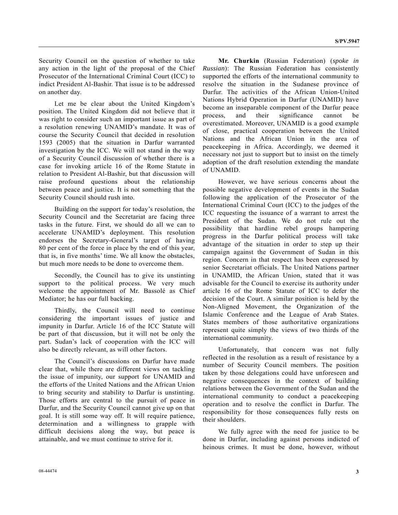Security Council on the question of whether to take any action in the light of the proposal of the Chief Prosecutor of the International Criminal Court (ICC) to indict President Al-Bashir. That issue is to be addressed on another day.

 Let me be clear about the United Kingdom's position. The United Kingdom did not believe that it was right to consider such an important issue as part of a resolution renewing UNAMID's mandate. It was of course the Security Council that decided in resolution 1593 (2005) that the situation in Darfur warranted investigation by the ICC. We will not stand in the way of a Security Council discussion of whether there is a case for invoking article 16 of the Rome Statute in relation to President Al-Bashir, but that discussion will raise profound questions about the relationship between peace and justice. It is not something that the Security Council should rush into.

 Building on the support for today's resolution, the Security Council and the Secretariat are facing three tasks in the future. First, we should do all we can to accelerate UNAMID's deployment. This resolution endorses the Secretary-General's target of having 80 per cent of the force in place by the end of this year, that is, in five months' time. We all know the obstacles, but much more needs to be done to overcome them.

 Secondly, the Council has to give its unstinting support to the political process. We very much welcome the appointment of Mr. Bassolé as Chief Mediator; he has our full backing.

 Thirdly, the Council will need to continue considering the important issues of justice and impunity in Darfur. Article 16 of the ICC Statute will be part of that discussion, but it will not be only the part. Sudan's lack of cooperation with the ICC will also be directly relevant, as will other factors.

 The Council's discussions on Darfur have made clear that, while there are different views on tackling the issue of impunity, our support for UNAMID and the efforts of the United Nations and the African Union to bring security and stability to Darfur is unstinting. Those efforts are central to the pursuit of peace in Darfur, and the Security Council cannot give up on that goal. It is still some way off. It will require patience, determination and a willingness to grapple with difficult decisions along the way, but peace is attainable, and we must continue to strive for it.

**Mr. Churkin** (Russian Federation) (*spoke in Russian*): The Russian Federation has consistently supported the efforts of the international community to resolve the situation in the Sudanese province of Darfur. The activities of the African Union-United Nations Hybrid Operation in Darfur (UNAMID) have become an inseparable component of the Darfur peace process, and their significance cannot be overestimated. Moreover, UNAMID is a good example of close, practical cooperation between the United Nations and the African Union in the area of peacekeeping in Africa. Accordingly, we deemed it necessary not just to support but to insist on the timely adoption of the draft resolution extending the mandate of UNAMID.

 However, we have serious concerns about the possible negative development of events in the Sudan following the application of the Prosecutor of the International Criminal Court (ICC) to the judges of the ICC requesting the issuance of a warrant to arrest the President of the Sudan. We do not rule out the possibility that hardline rebel groups hampering progress in the Darfur political process will take advantage of the situation in order to step up their campaign against the Government of Sudan in this region. Concern in that respect has been expressed by senior Secretariat officials. The United Nations partner in UNAMID, the African Union, stated that it was advisable for the Council to exercise its authority under article 16 of the Rome Statute of ICC to defer the decision of the Court. A similar position is held by the Non-Aligned Movement, the Organization of the Islamic Conference and the League of Arab States. States members of those authoritative organizations represent quite simply the views of two thirds of the international community.

 Unfortunately, that concern was not fully reflected in the resolution as a result of resistance by a number of Security Council members. The position taken by those delegations could have unforeseen and negative consequences in the context of building relations between the Government of the Sudan and the international community to conduct a peacekeeping operation and to resolve the conflict in Darfur. The responsibility for those consequences fully rests on their shoulders.

 We fully agree with the need for justice to be done in Darfur, including against persons indicted of heinous crimes. It must be done, however, without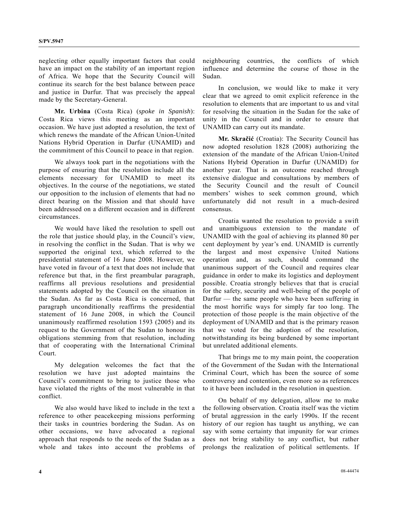neglecting other equally important factors that could have an impact on the stability of an important region of Africa. We hope that the Security Council will continue its search for the best balance between peace and justice in Darfur. That was precisely the appeal made by the Secretary-General.

 **Mr. Urbina** (Costa Rica) (*spoke in Spanish*): Costa Rica views this meeting as an important occasion. We have just adopted a resolution, the text of which renews the mandate of the African Union-United Nations Hybrid Operation in Darfur (UNAMID) and the commitment of this Council to peace in that region.

 We always took part in the negotiations with the purpose of ensuring that the resolution include all the elements necessary for UNAMID to meet its objectives. In the course of the negotiations, we stated our opposition to the inclusion of elements that had no direct bearing on the Mission and that should have been addressed on a different occasion and in different circumstances.

 We would have liked the resolution to spell out the role that justice should play, in the Council's view, in resolving the conflict in the Sudan. That is why we supported the original text, which referred to the presidential statement of 16 June 2008. However, we have voted in favour of a text that does not include that reference but that, in the first preambular paragraph, reaffirms all previous resolutions and presidential statements adopted by the Council on the situation in the Sudan. As far as Costa Rica is concerned, that paragraph unconditionally reaffirms the presidential statement of 16 June 2008, in which the Council unanimously reaffirmed resolution 1593 (2005) and its request to the Government of the Sudan to honour its obligations stemming from that resolution, including that of cooperating with the International Criminal Court.

 My delegation welcomes the fact that the resolution we have just adopted maintains the Council's commitment to bring to justice those who have violated the rights of the most vulnerable in that conflict.

 We also would have liked to include in the text a reference to other peacekeeping missions performing their tasks in countries bordering the Sudan. As on other occasions, we have advocated a regional approach that responds to the needs of the Sudan as a whole and takes into account the problems of neighbouring countries, the conflicts of which influence and determine the course of those in the Sudan.

 In conclusion, we would like to make it very clear that we agreed to omit explicit reference in the resolution to elements that are important to us and vital for resolving the situation in the Sudan for the sake of unity in the Council and in order to ensure that UNAMID can carry out its mandate.

 **Mr. Skračić** (Croatia): The Security Council has now adopted resolution 1828 (2008) authorizing the extension of the mandate of the African Union-United Nations Hybrid Operation in Darfur (UNAMID) for another year. That is an outcome reached through extensive dialogue and consultations by members of the Security Council and the result of Council members' wishes to seek common ground, which unfortunately did not result in a much-desired consensus.

 Croatia wanted the resolution to provide a swift and unambiguous extension to the mandate of UNAMID with the goal of achieving its planned 80 per cent deployment by year's end. UNAMID is currently the largest and most expensive United Nations operation and, as such, should command the unanimous support of the Council and requires clear guidance in order to make its logistics and deployment possible. Croatia strongly believes that that is crucial for the safety, security and well-being of the people of Darfur — the same people who have been suffering in the most horrific ways for simply far too long. The protection of those people is the main objective of the deployment of UNAMID and that is the primary reason that we voted for the adoption of the resolution, notwithstanding its being burdened by some important but unrelated additional elements.

 That brings me to my main point, the cooperation of the Government of the Sudan with the International Criminal Court, which has been the source of some controversy and contention, even more so as references to it have been included in the resolution in question.

 On behalf of my delegation, allow me to make the following observation. Croatia itself was the victim of brutal aggression in the early 1990s. If the recent history of our region has taught us anything, we can say with some certainty that impunity for war crimes does not bring stability to any conflict, but rather prolongs the realization of political settlements. If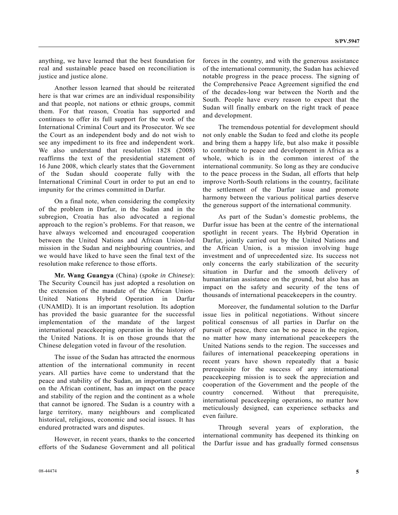anything, we have learned that the best foundation for real and sustainable peace based on reconciliation is justice and justice alone.

 Another lesson learned that should be reiterated here is that war crimes are an individual responsibility and that people, not nations or ethnic groups, commit them. For that reason, Croatia has supported and continues to offer its full support for the work of the International Criminal Court and its Prosecutor. We see the Court as an independent body and do not wish to see any impediment to its free and independent work. We also understand that resolution 1828 (2008) reaffirms the text of the presidential statement of 16 June 2008, which clearly states that the Government of the Sudan should cooperate fully with the International Criminal Court in order to put an end to impunity for the crimes committed in Darfur.

 On a final note, when considering the complexity of the problem in Darfur, in the Sudan and in the subregion, Croatia has also advocated a regional approach to the region's problems. For that reason, we have always welcomed and encouraged cooperation between the United Nations and African Union-led mission in the Sudan and neighbouring countries, and we would have liked to have seen the final text of the resolution make reference to those efforts.

 **Mr. Wang Guangya** (China) (*spoke in Chinese*): The Security Council has just adopted a resolution on the extension of the mandate of the African Union-United Nations Hybrid Operation in Darfur (UNAMID). It is an important resolution. Its adoption has provided the basic guarantee for the successful implementation of the mandate of the largest international peacekeeping operation in the history of the United Nations. It is on those grounds that the Chinese delegation voted in favour of the resolution.

 The issue of the Sudan has attracted the enormous attention of the international community in recent years. All parties have come to understand that the peace and stability of the Sudan, an important country on the African continent, has an impact on the peace and stability of the region and the continent as a whole that cannot be ignored. The Sudan is a country with a large territory, many neighbours and complicated historical, religious, economic and social issues. It has endured protracted wars and disputes.

 However, in recent years, thanks to the concerted efforts of the Sudanese Government and all political

forces in the country, and with the generous assistance of the international community, the Sudan has achieved notable progress in the peace process. The signing of the Comprehensive Peace Agreement signified the end of the decades-long war between the North and the South. People have every reason to expect that the Sudan will finally embark on the right track of peace and development.

 The tremendous potential for development should not only enable the Sudan to feed and clothe its people and bring them a happy life, but also make it possible to contribute to peace and development in Africa as a whole, which is in the common interest of the international community. So long as they are conducive to the peace process in the Sudan, all efforts that help improve North-South relations in the country, facilitate the settlement of the Darfur issue and promote harmony between the various political parties deserve the generous support of the international community.

 As part of the Sudan's domestic problems, the Darfur issue has been at the centre of the international spotlight in recent years. The Hybrid Operation in Darfur, jointly carried out by the United Nations and the African Union, is a mission involving huge investment and of unprecedented size. Its success not only concerns the early stabilization of the security situation in Darfur and the smooth delivery of humanitarian assistance on the ground, but also has an impact on the safety and security of the tens of thousands of international peacekeepers in the country.

 Moreover, the fundamental solution to the Darfur issue lies in political negotiations. Without sincere political consensus of all parties in Darfur on the pursuit of peace, there can be no peace in the region, no matter how many international peacekeepers the United Nations sends to the region. The successes and failures of international peacekeeping operations in recent years have shown repeatedly that a basic prerequisite for the success of any international peacekeeping mission is to seek the appreciation and cooperation of the Government and the people of the country concerned. Without that prerequisite, international peacekeeping operations, no matter how meticulously designed, can experience setbacks and even failure.

 Through several years of exploration, the international community has deepened its thinking on the Darfur issue and has gradually formed consensus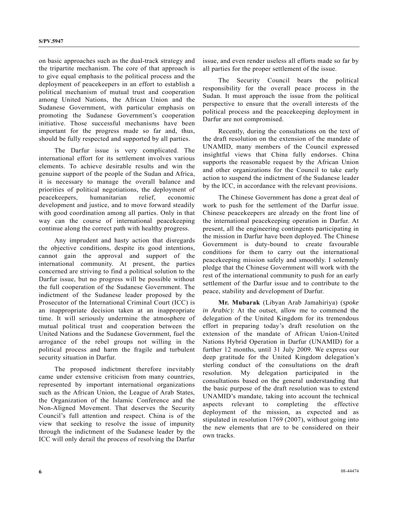on basic approaches such as the dual-track strategy and the tripartite mechanism. The core of that approach is to give equal emphasis to the political process and the deployment of peacekeepers in an effort to establish a political mechanism of mutual trust and cooperation among United Nations, the African Union and the Sudanese Government, with particular emphasis on promoting the Sudanese Government's cooperation initiative. Those successful mechanisms have been important for the progress made so far and, thus, should be fully respected and supported by all parties.

 The Darfur issue is very complicated. The international effort for its settlement involves various elements. To achieve desirable results and win the genuine support of the people of the Sudan and Africa, it is necessary to manage the overall balance and priorities of political negotiations, the deployment of peacekeepers, humanitarian relief, economic development and justice, and to move forward steadily with good coordination among all parties. Only in that way can the course of international peacekeeping continue along the correct path with healthy progress.

 Any imprudent and hasty action that disregards the objective conditions, despite its good intentions, cannot gain the approval and support of the international community. At present, the parties concerned are striving to find a political solution to the Darfur issue, but no progress will be possible without the full cooperation of the Sudanese Government. The indictment of the Sudanese leader proposed by the Prosecutor of the International Criminal Court (ICC) is an inappropriate decision taken at an inappropriate time. It will seriously undermine the atmosphere of mutual political trust and cooperation between the United Nations and the Sudanese Government, fuel the arrogance of the rebel groups not willing in the political process and harm the fragile and turbulent security situation in Darfur.

 The proposed indictment therefore inevitably came under extensive criticism from many countries, represented by important international organizations such as the African Union, the League of Arab States, the Organization of the Islamic Conference and the Non-Aligned Movement. That deserves the Security Council's full attention and respect. China is of the view that seeking to resolve the issue of impunity through the indictment of the Sudanese leader by the ICC will only derail the process of resolving the Darfur issue, and even render useless all efforts made so far by all parties for the proper settlement of the issue.

 The Security Council bears the political responsibility for the overall peace process in the Sudan. It must approach the issue from the political perspective to ensure that the overall interests of the political process and the peacekeeping deployment in Darfur are not compromised.

 Recently, during the consultations on the text of the draft resolution on the extension of the mandate of UNAMID, many members of the Council expressed insightful views that China fully endorses. China supports the reasonable request by the African Union and other organizations for the Council to take early action to suspend the indictment of the Sudanese leader by the ICC, in accordance with the relevant provisions.

 The Chinese Government has done a great deal of work to push for the settlement of the Darfur issue. Chinese peacekeepers are already on the front line of the international peacekeeping operation in Darfur. At present, all the engineering contingents participating in the mission in Darfur have been deployed. The Chinese Government is duty-bound to create favourable conditions for them to carry out the international peacekeeping mission safely and smoothly. I solemnly pledge that the Chinese Government will work with the rest of the international community to push for an early settlement of the Darfur issue and to contribute to the peace, stability and development of Darfur.

**Mr. Mubarak** (Libyan Arab Jamahiriya) (*spoke in Arabic*): At the outset, allow me to commend the delegation of the United Kingdom for its tremendous effort in preparing today's draft resolution on the extension of the mandate of African Union-United Nations Hybrid Operation in Darfur (UNAMID) for a further 12 months, until 31 July 2009. We express our deep gratitude for the United Kingdom delegation's sterling conduct of the consultations on the draft resolution. My delegation participated in the consultations based on the general understanding that the basic purpose of the draft resolution was to extend UNAMID's mandate, taking into account the technical aspects relevant to completing the effective deployment of the mission, as expected and as stipulated in resolution 1769 (2007), without going into the new elements that are to be considered on their own tracks.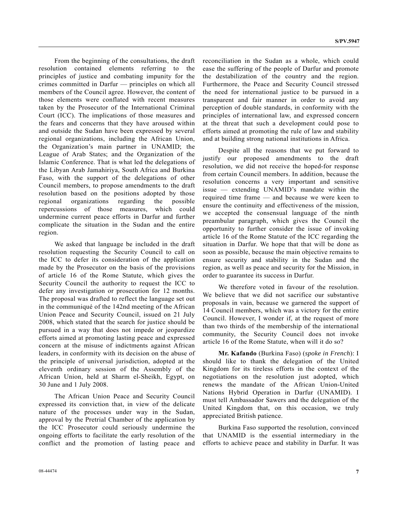From the beginning of the consultations, the draft resolution contained elements referring to the principles of justice and combating impunity for the crimes committed in Darfur — principles on which all members of the Council agree. However, the content of those elements were conflated with recent measures taken by the Prosecutor of the International Criminal Court (ICC). The implications of those measures and the fears and concerns that they have aroused within and outside the Sudan have been expressed by several regional organizations, including the African Union, the Organization's main partner in UNAMID; the League of Arab States; and the Organization of the Islamic Conference. That is what led the delegations of the Libyan Arab Jamahiriya, South Africa and Burkina Faso, with the support of the delegations of other Council members, to propose amendments to the draft resolution based on the positions adopted by those regional organizations regarding the possible repercussions of those measures, which could undermine current peace efforts in Darfur and further complicate the situation in the Sudan and the entire region.

 We asked that language be included in the draft resolution requesting the Security Council to call on the ICC to defer its consideration of the application made by the Prosecutor on the basis of the provisions of article 16 of the Rome Statute, which gives the Security Council the authority to request the ICC to defer any investigation or prosecution for 12 months. The proposal was drafted to reflect the language set out in the communiqué of the 142nd meeting of the African Union Peace and Security Council, issued on 21 July 2008, which stated that the search for justice should be pursued in a way that does not impede or jeopardize efforts aimed at promoting lasting peace and expressed concern at the misuse of indictments against African leaders, in conformity with its decision on the abuse of the principle of universal jurisdiction, adopted at the eleventh ordinary session of the Assembly of the African Union, held at Sharm el-Sheikh, Egypt, on 30 June and 1 July 2008.

 The African Union Peace and Security Council expressed its conviction that, in view of the delicate nature of the processes under way in the Sudan, approval by the Pretrial Chamber of the application by the ICC Prosecutor could seriously undermine the ongoing efforts to facilitate the early resolution of the conflict and the promotion of lasting peace and reconciliation in the Sudan as a whole, which could ease the suffering of the people of Darfur and promote the destabilization of the country and the region. Furthermore, the Peace and Security Council stressed the need for international justice to be pursued in a transparent and fair manner in order to avoid any perception of double standards, in conformity with the principles of international law, and expressed concern at the threat that such a development could pose to efforts aimed at promoting the rule of law and stability and at building strong national institutions in Africa.

 Despite all the reasons that we put forward to justify our proposed amendments to the draft resolution, we did not receive the hoped-for response from certain Council members. In addition, because the resolution concerns a very important and sensitive issue — extending UNAMID's mandate within the required time frame — and because we were keen to ensure the continuity and effectiveness of the mission, we accepted the consensual language of the ninth preambular paragraph, which gives the Council the opportunity to further consider the issue of invoking article 16 of the Rome Statute of the ICC regarding the situation in Darfur. We hope that that will be done as soon as possible, because the main objective remains to ensure security and stability in the Sudan and the region, as well as peace and security for the Mission, in order to guarantee its success in Darfur.

 We therefore voted in favour of the resolution. We believe that we did not sacrifice our substantive proposals in vain, because we garnered the support of 14 Council members, which was a victory for the entire Council. However, I wonder if, at the request of more than two thirds of the membership of the international community, the Security Council does not invoke article 16 of the Rome Statute, when will it do so?

**Mr. Kafando** (Burkina Faso) (*spoke in French*): I should like to thank the delegation of the United Kingdom for its tireless efforts in the context of the negotiations on the resolution just adopted, which renews the mandate of the African Union-United Nations Hybrid Operation in Darfur (UNAMID). I must tell Ambassador Sawers and the delegation of the United Kingdom that, on this occasion, we truly appreciated British patience.

 Burkina Faso supported the resolution, convinced that UNAMID is the essential intermediary in the efforts to achieve peace and stability in Darfur. It was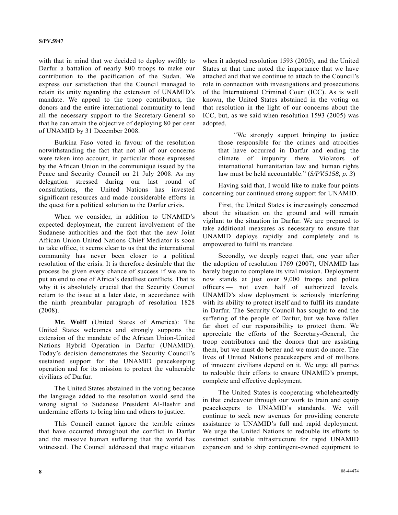with that in mind that we decided to deploy swiftly to Darfur a battalion of nearly 800 troops to make our contribution to the pacification of the Sudan. We express our satisfaction that the Council managed to retain its unity regarding the extension of UNAMID's mandate. We appeal to the troop contributors, the donors and the entire international community to lend all the necessary support to the Secretary-General so that he can attain the objective of deploying 80 per cent of UNAMID by 31 December 2008.

 Burkina Faso voted in favour of the resolution notwithstanding the fact that not all of our concerns were taken into account, in particular those expressed by the African Union in the communiqué issued by the Peace and Security Council on 21 July 2008. As my delegation stressed during our last round of consultations, the United Nations has invested significant resources and made considerable efforts in the quest for a political solution to the Darfur crisis.

 When we consider, in addition to UNAMID's expected deployment, the current involvement of the Sudanese authorities and the fact that the new Joint African Union-United Nations Chief Mediator is soon to take office, it seems clear to us that the international community has never been closer to a political resolution of the crisis. It is therefore desirable that the process be given every chance of success if we are to put an end to one of Africa's deadliest conflicts. That is why it is absolutely crucial that the Security Council return to the issue at a later date, in accordance with the ninth preambular paragraph of resolution 1828 (2008).

**Mr. Wolff** (United States of America): The United States welcomes and strongly supports the extension of the mandate of the African Union-United Nations Hybrid Operation in Darfur (UNAMID). Today's decision demonstrates the Security Council's sustained support for the UNAMID peacekeeping operation and for its mission to protect the vulnerable civilians of Darfur.

 The United States abstained in the voting because the language added to the resolution would send the wrong signal to Sudanese President Al-Bashir and undermine efforts to bring him and others to justice.

 This Council cannot ignore the terrible crimes that have occurred throughout the conflict in Darfur and the massive human suffering that the world has witnessed. The Council addressed that tragic situation when it adopted resolution 1593 (2005), and the United States at that time noted the importance that we have attached and that we continue to attach to the Council's role in connection with investigations and prosecutions of the International Criminal Court (ICC). As is well known, the United States abstained in the voting on that resolution in the light of our concerns about the ICC, but, as we said when resolution 1593 (2005) was adopted,

 "We strongly support bringing to justice those responsible for the crimes and atrocities that have occurred in Darfur and ending the climate of impunity there. Violators of international humanitarian law and human rights law must be held accountable." (*S/PV.5158, p. 3*)

 Having said that, I would like to make four points concerning our continued strong support for UNAMID.

 First, the United States is increasingly concerned about the situation on the ground and will remain vigilant to the situation in Darfur. We are prepared to take additional measures as necessary to ensure that UNAMID deploys rapidly and completely and is empowered to fulfil its mandate.

 Secondly, we deeply regret that, one year after the adoption of resolution 1769 (2007), UNAMID has barely begun to complete its vital mission. Deployment now stands at just over 9,000 troops and police officers — not even half of authorized levels. UNAMID's slow deployment is seriously interfering with its ability to protect itself and to fulfil its mandate in Darfur. The Security Council has sought to end the suffering of the people of Darfur, but we have fallen far short of our responsibility to protect them. We appreciate the efforts of the Secretary-General, the troop contributors and the donors that are assisting them, but we must do better and we must do more. The lives of United Nations peacekeepers and of millions of innocent civilians depend on it. We urge all parties to redouble their efforts to ensure UNAMID's prompt, complete and effective deployment.

 The United States is cooperating wholeheartedly in that endeavour through our work to train and equip peacekeepers to UNAMID's standards. We will continue to seek new avenues for providing concrete assistance to UNAMID's full and rapid deployment. We urge the United Nations to redouble its efforts to construct suitable infrastructure for rapid UNAMID expansion and to ship contingent-owned equipment to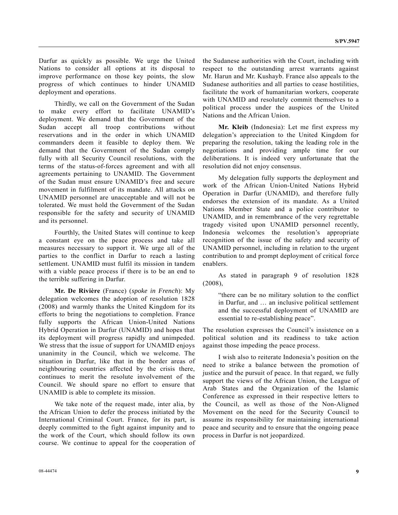Darfur as quickly as possible. We urge the United Nations to consider all options at its disposal to improve performance on those key points, the slow progress of which continues to hinder UNAMID deployment and operations.

 Thirdly, we call on the Government of the Sudan to make every effort to facilitate UNAMID's deployment. We demand that the Government of the Sudan accept all troop contributions without reservations and in the order in which UNAMID commanders deem it feasible to deploy them. We demand that the Government of the Sudan comply fully with all Security Council resolutions, with the terms of the status-of-forces agreement and with all agreements pertaining to UNAMID. The Government of the Sudan must ensure UNAMID's free and secure movement in fulfilment of its mandate. All attacks on UNAMID personnel are unacceptable and will not be tolerated. We must hold the Government of the Sudan responsible for the safety and security of UNAMID and its personnel.

 Fourthly, the United States will continue to keep a constant eye on the peace process and take all measures necessary to support it. We urge all of the parties to the conflict in Darfur to reach a lasting settlement. UNAMID must fulfil its mission in tandem with a viable peace process if there is to be an end to the terrible suffering in Darfur.

 **Mr. De Rivière** (France) (*spoke in French*): My delegation welcomes the adoption of resolution 1828 (2008) and warmly thanks the United Kingdom for its efforts to bring the negotiations to completion. France fully supports the African Union-United Nations Hybrid Operation in Darfur (UNAMID) and hopes that its deployment will progress rapidly and unimpeded. We stress that the issue of support for UNAMID enjoys unanimity in the Council, which we welcome. The situation in Darfur, like that in the border areas of neighbouring countries affected by the crisis there, continues to merit the resolute involvement of the Council. We should spare no effort to ensure that UNAMID is able to complete its mission.

 We take note of the request made, inter alia, by the African Union to defer the process initiated by the International Criminal Court. France, for its part, is deeply committed to the fight against impunity and to the work of the Court, which should follow its own course. We continue to appeal for the cooperation of the Sudanese authorities with the Court, including with respect to the outstanding arrest warrants against Mr. Harun and Mr. Kushayb. France also appeals to the Sudanese authorities and all parties to cease hostilities, facilitate the work of humanitarian workers, cooperate with UNAMID and resolutely commit themselves to a political process under the auspices of the United Nations and the African Union.

 **Mr. Kleib** (Indonesia): Let me first express my delegation's appreciation to the United Kingdom for preparing the resolution, taking the leading role in the negotiations and providing ample time for our deliberations. It is indeed very unfortunate that the resolution did not enjoy consensus.

 My delegation fully supports the deployment and work of the African Union-United Nations Hybrid Operation in Darfur (UNAMID), and therefore fully endorses the extension of its mandate. As a United Nations Member State and a police contributor to UNAMID, and in remembrance of the very regrettable tragedy visited upon UNAMID personnel recently, Indonesia welcomes the resolution's appropriate recognition of the issue of the safety and security of UNAMID personnel, including in relation to the urgent contribution to and prompt deployment of critical force enablers.

 As stated in paragraph 9 of resolution 1828 (2008),

"there can be no military solution to the conflict in Darfur, and … an inclusive political settlement and the successful deployment of UNAMID are essential to re-establishing peace".

The resolution expresses the Council's insistence on a political solution and its readiness to take action against those impeding the peace process.

 I wish also to reiterate Indonesia's position on the need to strike a balance between the promotion of justice and the pursuit of peace. In that regard, we fully support the views of the African Union, the League of Arab States and the Organization of the Islamic Conference as expressed in their respective letters to the Council, as well as those of the Non-Aligned Movement on the need for the Security Council to assume its responsibility for maintaining international peace and security and to ensure that the ongoing peace process in Darfur is not jeopardized.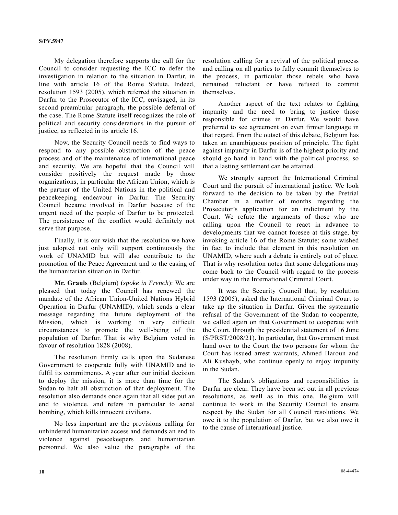My delegation therefore supports the call for the Council to consider requesting the ICC to defer the investigation in relation to the situation in Darfur, in line with article 16 of the Rome Statute. Indeed, resolution 1593 (2005), which referred the situation in Darfur to the Prosecutor of the ICC, envisaged, in its second preambular paragraph, the possible deferral of the case. The Rome Statute itself recognizes the role of political and security considerations in the pursuit of justice, as reflected in its article 16.

 Now, the Security Council needs to find ways to respond to any possible obstruction of the peace process and of the maintenance of international peace and security. We are hopeful that the Council will consider positively the request made by those organizations, in particular the African Union, which is the partner of the United Nations in the political and peacekeeping endeavour in Darfur. The Security Council became involved in Darfur because of the urgent need of the people of Darfur to be protected. The persistence of the conflict would definitely not serve that purpose.

 Finally, it is our wish that the resolution we have just adopted not only will support continuously the work of UNAMID but will also contribute to the promotion of the Peace Agreement and to the easing of the humanitarian situation in Darfur.

 **Mr. Grauls** (Belgium) (*spoke in French*): We are pleased that today the Council has renewed the mandate of the African Union-United Nations Hybrid Operation in Darfur (UNAMID), which sends a clear message regarding the future deployment of the Mission, which is working in very difficult circumstances to promote the well-being of the population of Darfur. That is why Belgium voted in favour of resolution 1828 (2008).

 The resolution firmly calls upon the Sudanese Government to cooperate fully with UNAMID and to fulfil its commitments. A year after our initial decision to deploy the mission, it is more than time for the Sudan to halt all obstruction of that deployment. The resolution also demands once again that all sides put an end to violence, and refers in particular to aerial bombing, which kills innocent civilians.

 No less important are the provisions calling for unhindered humanitarian access and demands an end to violence against peacekeepers and humanitarian personnel. We also value the paragraphs of the resolution calling for a revival of the political process and calling on all parties to fully commit themselves to the process, in particular those rebels who have remained reluctant or have refused to commit themselves.

 Another aspect of the text relates to fighting impunity and the need to bring to justice those responsible for crimes in Darfur. We would have preferred to see agreement on even firmer language in that regard. From the outset of this debate, Belgium has taken an unambiguous position of principle. The fight against impunity in Darfur is of the highest priority and should go hand in hand with the political process, so that a lasting settlement can be attained.

 We strongly support the International Criminal Court and the pursuit of international justice. We look forward to the decision to be taken by the Pretrial Chamber in a matter of months regarding the Prosecutor's application for an indictment by the Court. We refute the arguments of those who are calling upon the Council to react in advance to developments that we cannot foresee at this stage, by invoking article 16 of the Rome Statute; some wished in fact to include that element in this resolution on UNAMID, where such a debate is entirely out of place. That is why resolution notes that some delegations may come back to the Council with regard to the process under way in the International Criminal Court.

 It was the Security Council that, by resolution 1593 (2005), asked the International Criminal Court to take up the situation in Darfur. Given the systematic refusal of the Government of the Sudan to cooperate, we called again on that Government to cooperate with the Court, through the presidential statement of 16 June (S/PRST/2008/21). In particular, that Government must hand over to the Court the two persons for whom the Court has issued arrest warrants, Ahmed Haroun and Ali Kushayb, who continue openly to enjoy impunity in the Sudan.

 The Sudan's obligations and responsibilities in Darfur are clear. They have been set out in all previous resolutions, as well as in this one. Belgium will continue to work in the Security Council to ensure respect by the Sudan for all Council resolutions. We owe it to the population of Darfur, but we also owe it to the cause of international justice.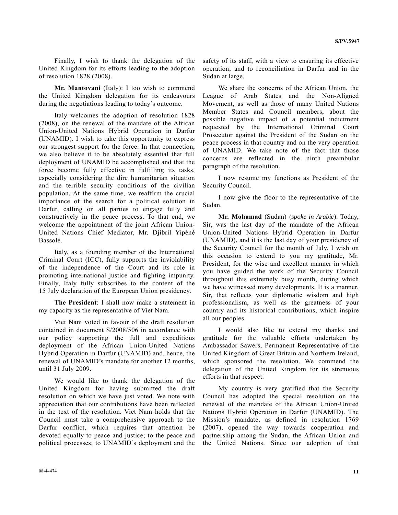Finally, I wish to thank the delegation of the United Kingdom for its efforts leading to the adoption of resolution 1828 (2008).

 **Mr. Mantovani** (Italy): I too wish to commend the United Kingdom delegation for its endeavours during the negotiations leading to today's outcome.

 Italy welcomes the adoption of resolution 1828 (2008), on the renewal of the mandate of the African Union-United Nations Hybrid Operation in Darfur (UNAMID). I wish to take this opportunity to express our strongest support for the force. In that connection, we also believe it to be absolutely essential that full deployment of UNAMID be accomplished and that the force become fully effective in fulfilling its tasks, especially considering the dire humanitarian situation and the terrible security conditions of the civilian population. At the same time, we reaffirm the crucial importance of the search for a political solution in Darfur, calling on all parties to engage fully and constructively in the peace process. To that end, we welcome the appointment of the joint African Union-United Nations Chief Mediator, Mr. Djibril Yipènè Bassolé.

 Italy, as a founding member of the International Criminal Court (ICC), fully supports the inviolability of the independence of the Court and its role in promoting international justice and fighting impunity. Finally, Italy fully subscribes to the content of the 15 July declaration of the European Union presidency.

 **The President**: I shall now make a statement in my capacity as the representative of Viet Nam.

 Viet Nam voted in favour of the draft resolution contained in document S/2008/506 in accordance with our policy supporting the full and expeditious deployment of the African Union-United Nations Hybrid Operation in Darfur (UNAMID) and, hence, the renewal of UNAMID's mandate for another 12 months, until 31 July 2009.

 We would like to thank the delegation of the United Kingdom for having submitted the draft resolution on which we have just voted. We note with appreciation that our contributions have been reflected in the text of the resolution. Viet Nam holds that the Council must take a comprehensive approach to the Darfur conflict, which requires that attention be devoted equally to peace and justice; to the peace and political processes; to UNAMID's deployment and the

safety of its staff, with a view to ensuring its effective operation; and to reconciliation in Darfur and in the Sudan at large.

 We share the concerns of the African Union, the League of Arab States and the Non-Aligned Movement, as well as those of many United Nations Member States and Council members, about the possible negative impact of a potential indictment requested by the International Criminal Court Prosecutor against the President of the Sudan on the peace process in that country and on the very operation of UNAMID. We take note of the fact that those concerns are reflected in the ninth preambular paragraph of the resolution.

 I now resume my functions as President of the Security Council.

 I now give the floor to the representative of the Sudan.

**Mr. Mohamad** (Sudan) (*spoke in Arabic*): Today, Sir, was the last day of the mandate of the African Union-United Nations Hybrid Operation in Darfur (UNAMID), and it is the last day of your presidency of the Security Council for the month of July. I wish on this occasion to extend to you my gratitude, Mr. President, for the wise and excellent manner in which you have guided the work of the Security Council throughout this extremely busy month, during which we have witnessed many developments. It is a manner, Sir, that reflects your diplomatic wisdom and high professionalism, as well as the greatness of your country and its historical contributions, which inspire all our peoples.

 I would also like to extend my thanks and gratitude for the valuable efforts undertaken by Ambassador Sawers, Permanent Representative of the United Kingdom of Great Britain and Northern Ireland, which sponsored the resolution. We commend the delegation of the United Kingdom for its strenuous efforts in that respect.

 My country is very gratified that the Security Council has adopted the special resolution on the renewal of the mandate of the African Union-United Nations Hybrid Operation in Darfur (UNAMID). The Mission's mandate, as defined in resolution 1769 (2007), opened the way towards cooperation and partnership among the Sudan, the African Union and the United Nations. Since our adoption of that